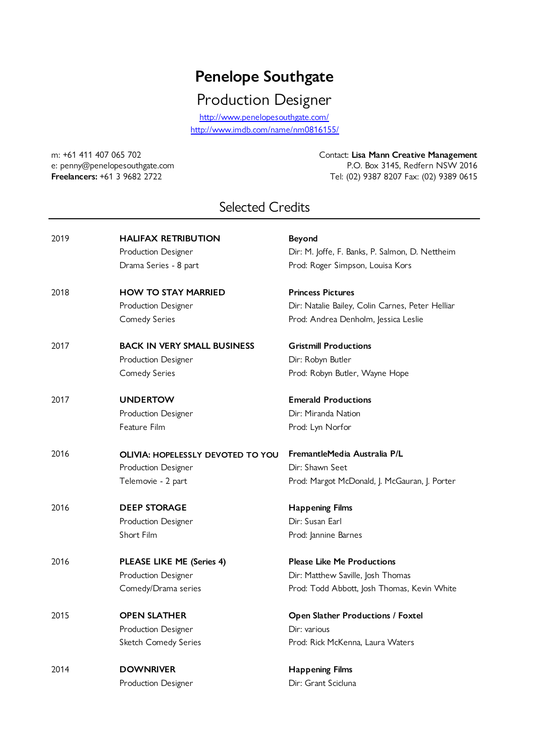## **Penelope Southgate**

Production Designer

http://www.imdb.com/name/nm0816155/ http://www.penelopesouthgate.com/

m: +61 411 407 065 702 Contact: **Lisa Mann Creative Management** e: penny@penelopesouthgate.com P.O. Box 3145, Redfern NSW 2016 **Freelancers:** +61 3 9682 2722 Tel: (02) 9387 8207 Fax: (02) 9389 0615

## Selected Credits

| 2019 | <b>HALIFAX RETRIBUTION</b>               | <b>Beyond</b>                                    |
|------|------------------------------------------|--------------------------------------------------|
|      | Production Designer                      | Dir: M. Joffe, F. Banks, P. Salmon, D. Nettheim  |
|      | Drama Series - 8 part                    | Prod: Roger Simpson, Louisa Kors                 |
| 2018 | <b>HOW TO STAY MARRIED</b>               | <b>Princess Pictures</b>                         |
|      | Production Designer                      | Dir: Natalie Bailey, Colin Carnes, Peter Helliar |
|      | <b>Comedy Series</b>                     | Prod: Andrea Denholm, Jessica Leslie             |
| 2017 | <b>BACK IN VERY SMALL BUSINESS</b>       | <b>Gristmill Productions</b>                     |
|      | Production Designer                      | Dir: Robyn Butler                                |
|      | <b>Comedy Series</b>                     | Prod: Robyn Butler, Wayne Hope                   |
| 2017 | <b>UNDERTOW</b>                          | <b>Emerald Productions</b>                       |
|      | Production Designer                      | Dir: Miranda Nation                              |
|      | Feature Film                             | Prod: Lyn Norfor                                 |
| 2016 | <b>OLIVIA: HOPELESSLY DEVOTED TO YOU</b> | FremantleMedia Australia P/L                     |
|      | Production Designer                      | Dir: Shawn Seet                                  |
|      | Telemovie - 2 part                       | Prod: Margot McDonald, J. McGauran, J. Porter    |
| 2016 | <b>DEEP STORAGE</b>                      | <b>Happening Films</b>                           |
|      | Production Designer                      | Dir: Susan Earl                                  |
|      | Short Film                               | Prod: Jannine Barnes                             |
| 2016 | PLEASE LIKE ME (Series 4)                | <b>Please Like Me Productions</b>                |
|      | Production Designer                      | Dir: Matthew Saville, Josh Thomas                |
|      | Comedy/Drama series                      | Prod: Todd Abbott, Josh Thomas, Kevin White      |
| 2015 | <b>OPEN SLATHER</b>                      | Open Slather Productions / Foxtel                |
|      | Production Designer                      | Dir: various                                     |
|      | Sketch Comedy Series                     | Prod: Rick McKenna, Laura Waters                 |
| 2014 | <b>DOWNRIVER</b>                         | <b>Happening Films</b>                           |
|      | Production Designer                      | Dir: Grant Scicluna                              |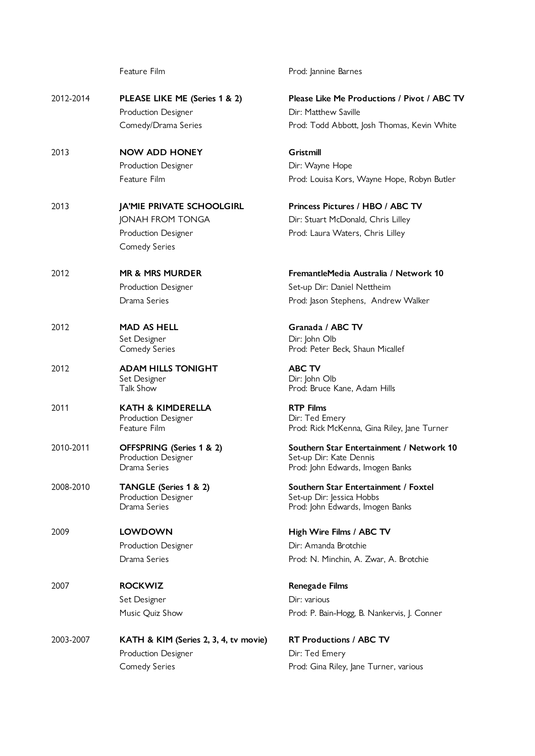|           | Feature Film                                        | Prod: Jannine Barnes                                     |
|-----------|-----------------------------------------------------|----------------------------------------------------------|
| 2012-2014 | PLEASE LIKE ME (Series 1 & 2)                       | <b>Please Like Me Production</b><br>Dir: Matthew Saville |
|           | Production Designer                                 |                                                          |
|           | Comedy/Drama Series                                 | Prod: Todd Abbott, Josh Tho                              |
| 2013      | <b>NOW ADD HONEY</b>                                | Gristmill                                                |
|           | Production Designer                                 | Dir: Wayne Hope                                          |
|           | Feature Film                                        | Prod: Louisa Kors, Wayne H                               |
| 2013      | JA'MIE PRIVATE SCHOOLGIRL                           | Princess Pictures / HBO /                                |
|           | JONAH FROM TONGA                                    | Dir: Stuart McDonald, Chris                              |
|           | Production Designer                                 | Prod: Laura Waters, Chris L                              |
|           | Comedy Series                                       |                                                          |
| 2012      | <b>MR &amp; MRS MURDER</b>                          | FremantleMedia Australia                                 |
|           | Production Designer                                 | Set-up Dir: Daniel Nettheim                              |
|           | Drama Series                                        | Prod: Jason Stephens, Andr                               |
|           |                                                     |                                                          |
| 2012      | <b>MAD AS HELL</b>                                  | Granada / ABC TV                                         |
|           | Set Designer                                        | Dir: John Olb                                            |
|           | <b>Comedy Series</b>                                | Prod: Peter Beck, Shaun Mic                              |
| 2012      | <b>ADAM HILLS TONIGHT</b>                           | <b>ABC TV</b>                                            |
|           | Set Designer<br>Talk Show                           | Dir: John Olb<br>Prod: Bruce Kane, Adam Hil              |
|           |                                                     |                                                          |
| 2011      | <b>KATH &amp; KIMDERELLA</b><br>Production Designer | <b>RTP Films</b><br>Dir: Ted Emery                       |
|           | Feature Film                                        | Prod: Rick McKenna, Gina Ri                              |
| 2010-2011 | OFFSPRING (Series 1 & 2)                            | Southern Star Entertainme                                |
|           | Production Designer                                 | Set-up Dir: Kate Dennis                                  |
|           | Drama Series                                        | Prod: John Edwards, Imogen                               |
| 2008-2010 | TANGLE (Series 1 & 2)                               | Southern Star Entertainme                                |
|           | Production Designer<br>Drama Series                 | Set-up Dir: Jessica Hobbs<br>Prod: John Edwards, Imogen  |
|           |                                                     |                                                          |
| 2009      | <b>LOWDOWN</b>                                      | High Wire Films / ABC TV                                 |
|           | Production Designer                                 | Dir: Amanda Brotchie                                     |
|           | Drama Series                                        | Prod: N. Minchin, A. Zwar, /                             |
| 2007      | <b>ROCKWIZ</b>                                      | <b>Renegade Films</b>                                    |
|           | Set Designer                                        | Dir: various                                             |
|           | Music Quiz Show                                     | Prod: P. Bain-Hogg, B. Nanke                             |
| 2003-2007 | KATH & KIM (Series 2, 3, 4, tv movie)               | <b>RT Productions / ABC TV</b>                           |
|           | Production Designer                                 | Dir: Ted Emery                                           |
|           | <b>Comedy Series</b>                                | Prod: Gina Riley, Jane Turne                             |
|           |                                                     |                                                          |

**2012 Please I** ABC TV Josh Thomas, Kevin White

Wayne Hope, Robyn Butler

**HBO / ABC TV** ld, Chris Lilley Chris Lilley

2012 **MR & MRS MURDER FremantleMedia Australia / Network 10 Nettheim** ns, Andrew Walker

naun Micallef

dam Hills

Gina Riley, Jane Turner

**2011** Pertainment / Network 10 Imogen Banks

<mark>ertainment / Foxtel</mark><br><del>I</del>obbs Imogen Banks

Zwar, A. Brotchie

B. Nankervis, J. Conner

e Turner, various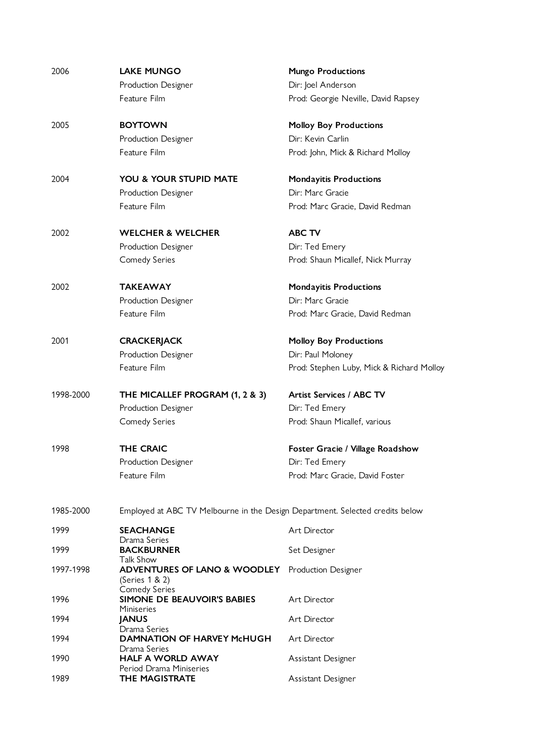| 2006      | <b>LAKE MUNGO</b>                                                             | <b>Mungo Productions</b>                  |
|-----------|-------------------------------------------------------------------------------|-------------------------------------------|
|           | Production Designer                                                           | Dir: Joel Anderson                        |
|           | Feature Film                                                                  | Prod: Georgie Neville, David Rapsey       |
| 2005      | <b>BOYTOWN</b>                                                                | <b>Molloy Boy Productions</b>             |
|           | Production Designer                                                           | Dir: Kevin Carlin                         |
|           | Feature Film                                                                  | Prod: John, Mick & Richard Molloy         |
| 2004      | <b>YOU &amp; YOUR STUPID MATE</b>                                             | <b>Mondayitis Productions</b>             |
|           | Production Designer                                                           | Dir: Marc Gracie                          |
|           | Feature Film                                                                  | Prod: Marc Gracie, David Redman           |
| 2002      | <b>WELCHER &amp; WELCHER</b>                                                  | <b>ABC TV</b>                             |
|           | Production Designer                                                           | Dir: Ted Emery                            |
|           | <b>Comedy Series</b>                                                          | Prod: Shaun Micallef, Nick Murray         |
| 2002      | <b>TAKEAWAY</b>                                                               | <b>Mondayitis Productions</b>             |
|           | Production Designer                                                           | Dir: Marc Gracie                          |
|           | Feature Film                                                                  | Prod: Marc Gracie, David Redman           |
| 2001      | <b>CRACKERJACK</b>                                                            | <b>Molloy Boy Productions</b>             |
|           | Production Designer                                                           | Dir: Paul Moloney                         |
|           | Feature Film                                                                  | Prod: Stephen Luby, Mick & Richard Molloy |
| 1998-2000 | THE MICALLEF PROGRAM (1, 2 & 3)                                               | <b>Artist Services / ABC TV</b>           |
|           | Production Designer                                                           | Dir: Ted Emery                            |
|           | Comedy Series                                                                 | Prod: Shaun Micallef, various             |
| 1998      | <b>THE CRAIC</b>                                                              | Foster Gracie / Village Roadshow          |
|           | Production Designer                                                           | Dir: Ted Emery                            |
|           | Feature Film                                                                  | Prod: Marc Gracie, David Foster           |
| 1985-2000 | Employed at ABC TV Melbourne in the Design Department. Selected credits below |                                           |
| 1999      | <b>SEACHANGE</b>                                                              | Art Director                              |
| 1999      | Drama Series<br><b>BACKBURNER</b><br>Talk Show                                | Set Designer                              |
| 1997-1998 | <b>ADVENTURES OF LANO &amp; WOODLEY</b> Production Designer<br>(Series 1 & 2) |                                           |
| 1996      | <b>Comedy Series</b><br>SIMONE DE BEAUVOIR'S BABIES<br><b>Miniseries</b>      | Art Director                              |
| 1994      | <b>JANUS</b><br>Drama Series                                                  | Art Director                              |
| 1994      | <b>DAMNATION OF HARVEY McHUGH</b>                                             | Art Director                              |
| 1990      | Drama Series<br><b>HALF A WORLD AWAY</b><br>Period Drama Miniseries           | Assistant Designer                        |
| 1989      | THE MAGISTRATE                                                                | Assistant Designer                        |